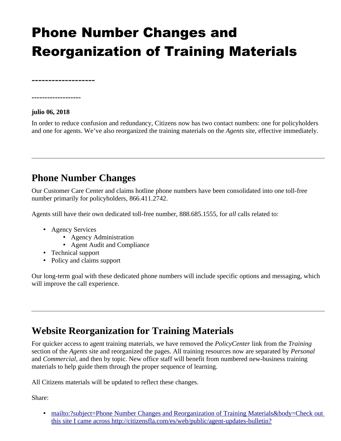## Phone Number Changes and Reorganization of Training Materials

**-------------------**

## **julio 06, 2018**

**-------------------**

In order to reduce confusion and redundancy, Citizens now has two contact numbers: one for policyholders and one for agents. We've also reorganized the training materials on the *Agents* site, effective immediately.

## **Phone Number Changes**

Our Customer Care Center and claims hotline phone numbers have been consolidated into one toll-free number primarily for policyholders, 866.411.2742.

Agents still have their own dedicated toll-free number, 888.685.1555, for *all* calls related to:

- Agency Services
	- Agency Administration
	- Agent Audit and Compliance
- Technical support
- Policy and claims support

Our long-term goal with these dedicated phone numbers will include specific options and messaging, which will improve the call experience.

## **Website Reorganization for Training Materials**

For quicker access to agent training materials, we have removed the *PolicyCenter* link from the *Training* section of the *Agents* site and reorganized the pages. All training resources now are separated by *Personal*  and *Commercial*, and then by topic. New office staff will benefit from numbered new-business training materials to help guide them through the proper sequence of learning.

All Citizens materials will be updated to reflect these changes.

Share:

• mailto:?subject=Phone Number Changes and Reorganization of Training Materials&body=Check out [this site I came across http://citizensfla.com/es/web/public/agent-updates-bulletin?](mailto:?subject=Phone%20Number%20Changes%20and%20Reorganization%20of%20Training%20Materials&body=Check%20out%20this%20site%20I%20came%20across%20http://citizensfla.com/es/web/public/agent-updates-bulletin?p_p_id=com_liferay_journal_web_portlet_JournalPortlet&p_p_lifecycle=2&p_p_state=exclusive&p_p_resource_id=exportArticle&p_p_cacheability=cacheLevelPage&_com_liferay_journal_web_portlet_JournalPortlet_groupId=20702&_com_liferay_journal_web_portlet_JournalPortlet_articleId=7732028&_com_liferay_journal_web_portlet_JournalPortlet_plid=1490056&_com_liferay_journal_web_portlet_JournalPortlet_portletResource=com_liferay_asset_publisher_web_portlet_AssetPublisherPortlet_INSTANCE_3YC3hsskaUbZ&_com_liferay_journal_web_portlet_JournalPortlet_targetExtension=pdf)